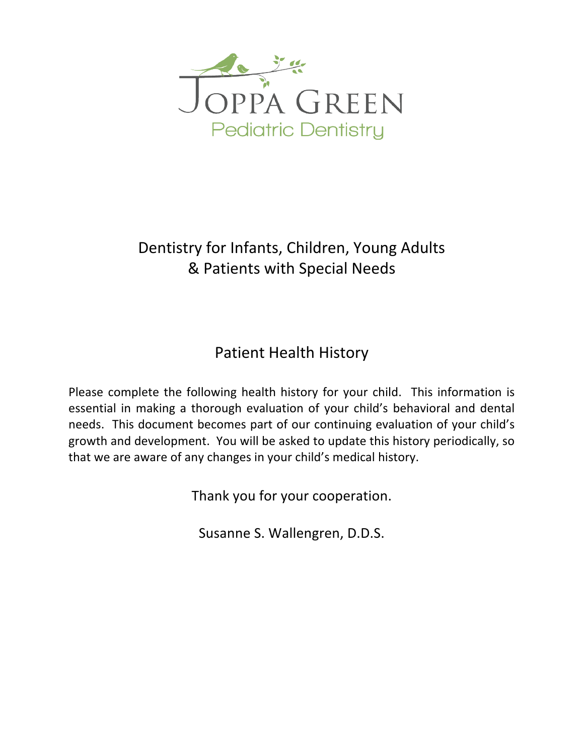

# Dentistry for Infants, Children, Young Adults & Patients with Special Needs

# Patient Health History

Please complete the following health history for your child. This information is essential in making a thorough evaluation of your child's behavioral and dental needs. This document becomes part of our continuing evaluation of your child's growth and development. You will be asked to update this history periodically, so that we are aware of any changes in your child's medical history.

Thank you for your cooperation.

Susanne S. Wallengren, D.D.S.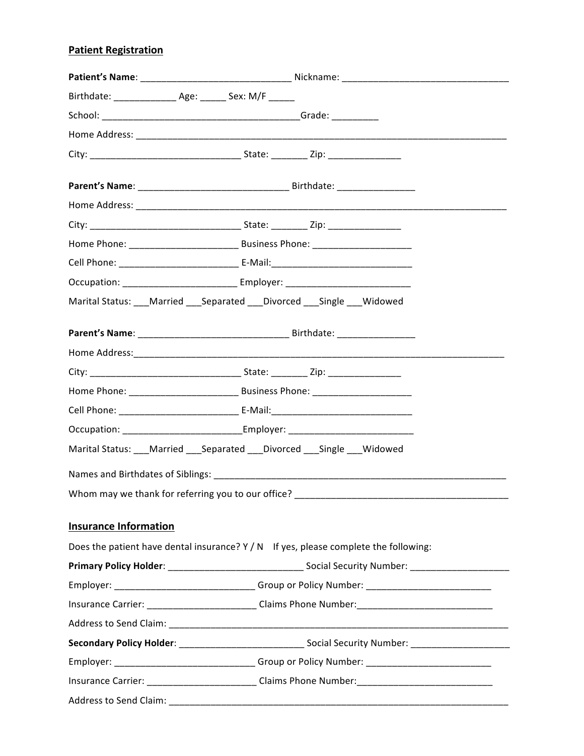# **Patient Registration**

| Birthdate: _________________ Age: _______ Sex: M/F ______ |                                                                                                      |
|-----------------------------------------------------------|------------------------------------------------------------------------------------------------------|
|                                                           |                                                                                                      |
|                                                           |                                                                                                      |
|                                                           |                                                                                                      |
|                                                           |                                                                                                      |
|                                                           |                                                                                                      |
|                                                           |                                                                                                      |
|                                                           |                                                                                                      |
|                                                           |                                                                                                      |
|                                                           | Occupation: ____________________________ Employer: _____________________________                     |
|                                                           | Marital Status: Married Separated Divorced Single Widowed                                            |
|                                                           |                                                                                                      |
|                                                           |                                                                                                      |
|                                                           |                                                                                                      |
|                                                           |                                                                                                      |
|                                                           |                                                                                                      |
|                                                           | Occupation: _________________________________Employer: _________________________                     |
|                                                           | Marital Status: __ Married __ Separated __ Divorced __ Single __ Widowed                             |
|                                                           |                                                                                                      |
|                                                           |                                                                                                      |
|                                                           |                                                                                                      |
| <b>Insurance Information</b>                              |                                                                                                      |
|                                                           | Does the patient have dental insurance? $Y/N$ If yes, please complete the following:                 |
|                                                           |                                                                                                      |
|                                                           | Employer: ___________________________________Group or Policy Number: ______________________________  |
|                                                           | Insurance Carrier: ______________________________Claims Phone Number: ______________________________ |
|                                                           |                                                                                                      |
|                                                           | Secondary Policy Holder: _________________________________Social Security Number: __________________ |
|                                                           | Employer: __________________________________Group or Policy Number: _______________________________  |
|                                                           | Insurance Carrier: _______________________________Claims Phone Number: _____________________________ |
|                                                           |                                                                                                      |
|                                                           |                                                                                                      |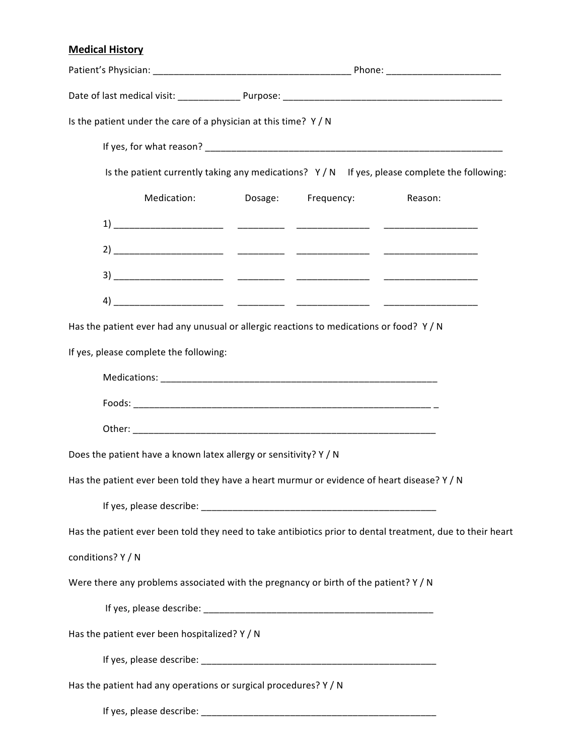## **Medical History**

| Is the patient under the care of a physician at this time? Y / N                                           |  |  |                                                                                               |
|------------------------------------------------------------------------------------------------------------|--|--|-----------------------------------------------------------------------------------------------|
|                                                                                                            |  |  |                                                                                               |
|                                                                                                            |  |  | Is the patient currently taking any medications? $Y/N$ If yes, please complete the following: |
| Medication: Dosage: Frequency:                                                                             |  |  | Reason:                                                                                       |
|                                                                                                            |  |  |                                                                                               |
|                                                                                                            |  |  |                                                                                               |
|                                                                                                            |  |  |                                                                                               |
|                                                                                                            |  |  |                                                                                               |
| Has the patient ever had any unusual or allergic reactions to medications or food? $Y/N$                   |  |  |                                                                                               |
| If yes, please complete the following:                                                                     |  |  |                                                                                               |
|                                                                                                            |  |  |                                                                                               |
|                                                                                                            |  |  |                                                                                               |
|                                                                                                            |  |  |                                                                                               |
| Does the patient have a known latex allergy or sensitivity? Y / N                                          |  |  |                                                                                               |
| Has the patient ever been told they have a heart murmur or evidence of heart disease? Y / N                |  |  |                                                                                               |
|                                                                                                            |  |  |                                                                                               |
| Has the patient ever been told they need to take antibiotics prior to dental treatment, due to their heart |  |  |                                                                                               |
| conditions? Y / N                                                                                          |  |  |                                                                                               |
| Were there any problems associated with the pregnancy or birth of the patient? Y / N                       |  |  |                                                                                               |
|                                                                                                            |  |  |                                                                                               |
| Has the patient ever been hospitalized? Y / N                                                              |  |  |                                                                                               |
|                                                                                                            |  |  |                                                                                               |
| Has the patient had any operations or surgical procedures? Y / N                                           |  |  |                                                                                               |
|                                                                                                            |  |  |                                                                                               |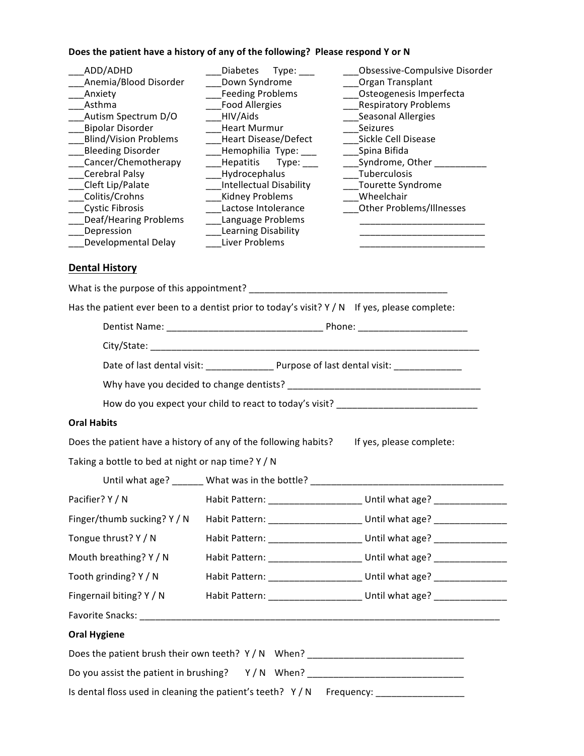## Does the patient have a history of any of the following? Please respond Y or N

| ADD/ADHD<br>Anemia/Blood Disorder<br>Anxiety<br>Asthma<br>Autism Spectrum D/O<br>Bipolar Disorder<br><b>Blind/Vision Problems</b><br><b>Bleeding Disorder</b><br>Cancer/Chemotherapy<br>Cerebral Palsy<br>Cleft Lip/Palate<br>Colitis/Crohns<br><b>Cystic Fibrosis</b><br><b>Deaf/Hearing Problems</b><br><b>Depression</b><br>Developmental Delay | Diabetes Type: ___<br>Down Syndrome<br>Feeding Problems<br>Food Allergies<br>HIV/Aids<br><b>Heart Murmur</b><br>Heart Disease/Defect<br>_Hemophilia Type: ___<br>___Hepatitis Type: ___<br>___Hydrocephalus<br>Intellectual Disability<br><b>Kidney Problems</b><br>Lactose Intolerance<br><b>Language Problems</b><br>Learning Disability<br><b>Liver Problems</b> | Obsessive-Compulsive Disorder<br>Organ Transplant<br>Osteogenesis Imperfecta<br><b>Respiratory Problems</b><br>Seasonal Allergies<br>Seizures<br>Sickle Cell Disease<br>____Spina Bifida<br>Syndrome, Other<br>Tuberculosis<br>Tourette Syndrome<br>Wheelchair<br>Other Problems/Illnesses |  |  |  |  |
|----------------------------------------------------------------------------------------------------------------------------------------------------------------------------------------------------------------------------------------------------------------------------------------------------------------------------------------------------|---------------------------------------------------------------------------------------------------------------------------------------------------------------------------------------------------------------------------------------------------------------------------------------------------------------------------------------------------------------------|--------------------------------------------------------------------------------------------------------------------------------------------------------------------------------------------------------------------------------------------------------------------------------------------|--|--|--|--|
| <b>Dental History</b>                                                                                                                                                                                                                                                                                                                              |                                                                                                                                                                                                                                                                                                                                                                     |                                                                                                                                                                                                                                                                                            |  |  |  |  |
|                                                                                                                                                                                                                                                                                                                                                    |                                                                                                                                                                                                                                                                                                                                                                     |                                                                                                                                                                                                                                                                                            |  |  |  |  |
|                                                                                                                                                                                                                                                                                                                                                    | Has the patient ever been to a dentist prior to today's visit? $Y/N$ If yes, please complete:                                                                                                                                                                                                                                                                       |                                                                                                                                                                                                                                                                                            |  |  |  |  |
|                                                                                                                                                                                                                                                                                                                                                    |                                                                                                                                                                                                                                                                                                                                                                     |                                                                                                                                                                                                                                                                                            |  |  |  |  |
|                                                                                                                                                                                                                                                                                                                                                    |                                                                                                                                                                                                                                                                                                                                                                     |                                                                                                                                                                                                                                                                                            |  |  |  |  |
|                                                                                                                                                                                                                                                                                                                                                    |                                                                                                                                                                                                                                                                                                                                                                     |                                                                                                                                                                                                                                                                                            |  |  |  |  |
|                                                                                                                                                                                                                                                                                                                                                    |                                                                                                                                                                                                                                                                                                                                                                     |                                                                                                                                                                                                                                                                                            |  |  |  |  |
|                                                                                                                                                                                                                                                                                                                                                    | How do you expect your child to react to today's visit? _________________________                                                                                                                                                                                                                                                                                   |                                                                                                                                                                                                                                                                                            |  |  |  |  |
| <b>Oral Habits</b>                                                                                                                                                                                                                                                                                                                                 |                                                                                                                                                                                                                                                                                                                                                                     |                                                                                                                                                                                                                                                                                            |  |  |  |  |
|                                                                                                                                                                                                                                                                                                                                                    | Does the patient have a history of any of the following habits? If yes, please complete:                                                                                                                                                                                                                                                                            |                                                                                                                                                                                                                                                                                            |  |  |  |  |
| Taking a bottle to bed at night or nap time? Y / N                                                                                                                                                                                                                                                                                                 |                                                                                                                                                                                                                                                                                                                                                                     |                                                                                                                                                                                                                                                                                            |  |  |  |  |
|                                                                                                                                                                                                                                                                                                                                                    | Until what age? ______ What was in the bottle? _________________________________                                                                                                                                                                                                                                                                                    |                                                                                                                                                                                                                                                                                            |  |  |  |  |
| Pacifier? Y / N                                                                                                                                                                                                                                                                                                                                    |                                                                                                                                                                                                                                                                                                                                                                     | Habit Pattern: ________________________ Until what age? _________________                                                                                                                                                                                                                  |  |  |  |  |
| Finger/thumb sucking? Y / N                                                                                                                                                                                                                                                                                                                        |                                                                                                                                                                                                                                                                                                                                                                     | Habit Pattern: ________________________ Until what age? ___________________                                                                                                                                                                                                                |  |  |  |  |
| Tongue thrust? Y / N                                                                                                                                                                                                                                                                                                                               |                                                                                                                                                                                                                                                                                                                                                                     | Habit Pattern: ______________________ Until what age? _________________                                                                                                                                                                                                                    |  |  |  |  |
| Mouth breathing? Y / N                                                                                                                                                                                                                                                                                                                             |                                                                                                                                                                                                                                                                                                                                                                     | Habit Pattern: ________________________________ Until what age? ________________                                                                                                                                                                                                           |  |  |  |  |
| Tooth grinding? Y / N                                                                                                                                                                                                                                                                                                                              |                                                                                                                                                                                                                                                                                                                                                                     | Habit Pattern: ________________________ Until what age? ________________________                                                                                                                                                                                                           |  |  |  |  |
| Fingernail biting? Y / N                                                                                                                                                                                                                                                                                                                           |                                                                                                                                                                                                                                                                                                                                                                     | Habit Pattern: _________________________ Until what age? _______________________                                                                                                                                                                                                           |  |  |  |  |
|                                                                                                                                                                                                                                                                                                                                                    |                                                                                                                                                                                                                                                                                                                                                                     |                                                                                                                                                                                                                                                                                            |  |  |  |  |
| <b>Oral Hygiene</b>                                                                                                                                                                                                                                                                                                                                |                                                                                                                                                                                                                                                                                                                                                                     |                                                                                                                                                                                                                                                                                            |  |  |  |  |
| Does the patient brush their own teeth? Y / N When? ____________________________                                                                                                                                                                                                                                                                   |                                                                                                                                                                                                                                                                                                                                                                     |                                                                                                                                                                                                                                                                                            |  |  |  |  |
|                                                                                                                                                                                                                                                                                                                                                    | Do you assist the patient in brushing? Y/N When? _______________________________                                                                                                                                                                                                                                                                                    |                                                                                                                                                                                                                                                                                            |  |  |  |  |
| Is dental floss used in cleaning the patient's teeth? Y / N Frequency: ________________                                                                                                                                                                                                                                                            |                                                                                                                                                                                                                                                                                                                                                                     |                                                                                                                                                                                                                                                                                            |  |  |  |  |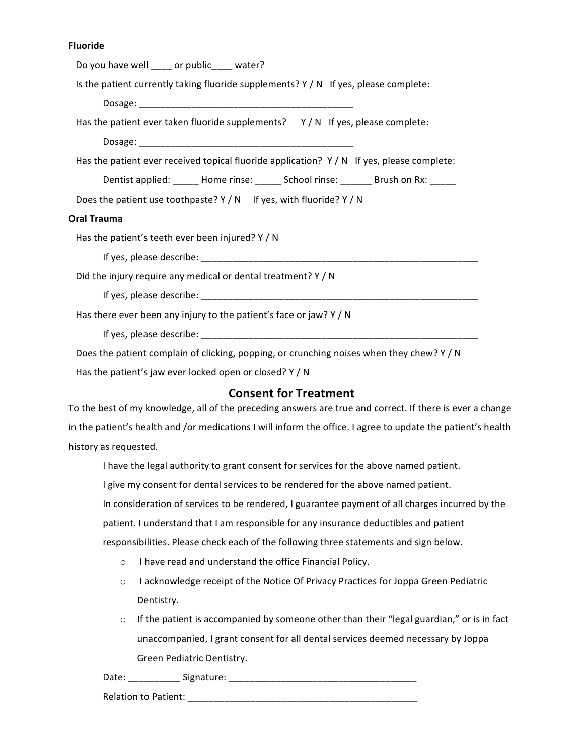### **Fluoride**

| Do you have well ____ or public____ water?                                                 |  |  |  |  |
|--------------------------------------------------------------------------------------------|--|--|--|--|
| Is the patient currently taking fluoride supplements? $Y/N$ If yes, please complete:       |  |  |  |  |
|                                                                                            |  |  |  |  |
| Has the patient ever taken fluoride supplements? $Y/N$ If yes, please complete:            |  |  |  |  |
|                                                                                            |  |  |  |  |
| Has the patient ever received topical fluoride application? $Y/N$ If yes, please complete: |  |  |  |  |
| Dentist applied: ______ Home rinse: ______ School rinse: _______ Brush on Rx: _____        |  |  |  |  |
| Does the patient use toothpaste? $Y/N$ If yes, with fluoride? $Y/N$                        |  |  |  |  |
| Oral Trauma                                                                                |  |  |  |  |
| Has the patient's teeth ever been injured? Y / N                                           |  |  |  |  |
|                                                                                            |  |  |  |  |
| Did the injury require any medical or dental treatment? Y / N                              |  |  |  |  |
|                                                                                            |  |  |  |  |
| Has there ever been any injury to the patient's face or jaw? Y / N                         |  |  |  |  |
|                                                                                            |  |  |  |  |
| Does the patient complain of clicking, popping, or crunching noises when they chew? Y / N  |  |  |  |  |
| Has the patient's jaw ever locked open or closed? Y / N                                    |  |  |  |  |
| <b>Consent for Treatment</b>                                                               |  |  |  |  |

To the best of my knowledge, all of the preceding answers are true and correct. If there is ever a change in the patient's health and /or medications I will inform the office. I agree to update the patient's health history as requested.

I have the legal authority to grant consent for services for the above named patient.

I give my consent for dental services to be rendered for the above named patient.

In consideration of services to be rendered, I guarantee payment of all charges incurred by the patient. I understand that I am responsible for any insurance deductibles and patient responsibilities. Please check each of the following three statements and sign below.

- o I have read and understand the office Financial Policy.
- o I acknowledge receipt of the Notice Of Privacy Practices for Joppa Green Pediatric Dentistry.
- $\circ$  If the patient is accompanied by someone other than their "legal guardian," or is in fact unaccompanied, I grant consent for all dental services deemed necessary by Joppa Green Pediatric Dentistry.

Date: \_\_\_\_\_\_\_\_\_\_ Signature: \_\_\_\_\_\_\_\_\_\_\_\_\_\_\_\_\_\_\_\_\_\_\_\_\_\_\_\_\_\_\_\_\_\_\_\_

Relation to Patient: \_\_\_\_\_\_\_\_\_\_\_\_\_\_\_\_\_\_\_\_\_\_\_\_\_\_\_\_\_\_\_\_\_\_\_\_\_\_\_\_\_\_\_\_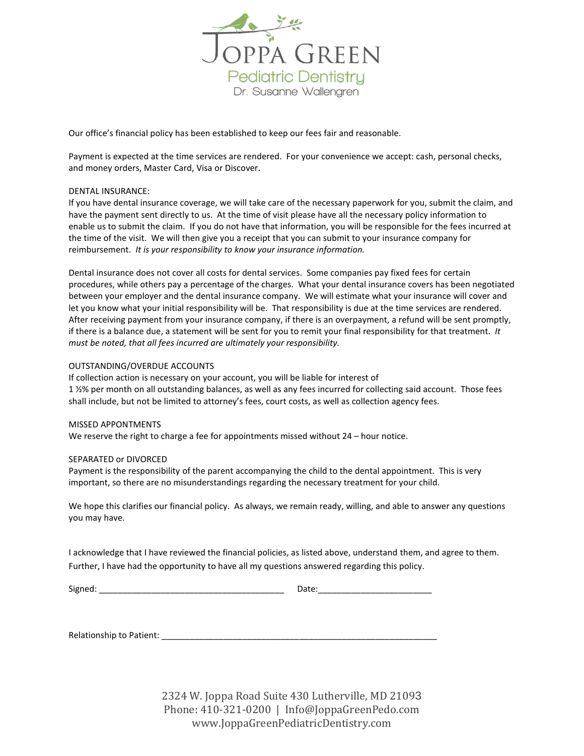

Our office's financial policy has been established to keep our fees fair and reasonable.

Payment is expected at the time services are rendered. For your convenience we accept: cash, personal checks, and money orders, Master Card, Visa or Discover.

#### DENTAL INSURANCE:

If you have dental insurance coverage, we will take care of the necessary paperwork for you, submit the claim, and have the payment sent directly to us. At the time of visit please have all the necessary policy information to enable us to submit the claim. If you do not have that information, you will be responsible for the fees incurred at the time of the visit. We will then give you a receipt that you can submit to your insurance company for reimbursement. *It is your responsibility to know your insurance information.*

Dental insurance does not cover all costs for dental services. Some companies pay fixed fees for certain procedures, while others pay a percentage of the charges. What your dental insurance covers has been negotiated between your employer and the dental insurance company. We will estimate what your insurance will cover and let you know what your initial responsibility will be. That responsibility is due at the time services are rendered. After receiving payment from your insurance company, if there is an overpayment, a refund will be sent promptly, if there is a balance due, a statement will be sent for you to remit your final responsibility for that treatment. *It must be noted, that all fees incurred are ultimately your responsibility.*

#### OUTSTANDING/OVERDUE ACCOUNTS

If collection action is necessary on your account, you will be liable for interest of 1 ½% per month on all outstanding balances, as well as any fees incurred for collecting said account. Those fees shall include, but not be limited to attorney's fees, court costs, as well as collection agency fees.

#### MISSED APPONTMENTS

We reserve the right to charge a fee for appointments missed without 24 – hour notice.

#### SEPARATED or DIVORCED

Payment is the responsibility of the parent accompanying the child to the dental appointment. This is very important, so there are no misunderstandings regarding the necessary treatment for your child.

We hope this clarifies our financial policy. As always, we remain ready, willing, and able to answer any questions you may have.

I acknowledge that I have reviewed the financial policies, as listed above, understand them, and agree to them. Further, I have had the opportunity to have all my questions answered regarding this policy.

| ugne |  |
|------|--|
|      |  |

Signed: \_\_\_\_\_\_\_\_\_\_\_\_\_\_\_\_\_\_\_\_\_\_\_\_\_\_\_\_\_\_\_\_\_\_\_\_\_\_\_ Date:\_\_\_\_\_\_\_\_\_\_\_\_\_\_\_\_\_\_\_\_\_\_\_\_

Relationship to Patient: **Example 2018** 

2324 W. Joppa Road Suite 430 Lutherville, MD 21093 Phone: 410-321-0200 | Info@JoppaGreenPedo.com www.JoppaGreenPediatricDentistry.com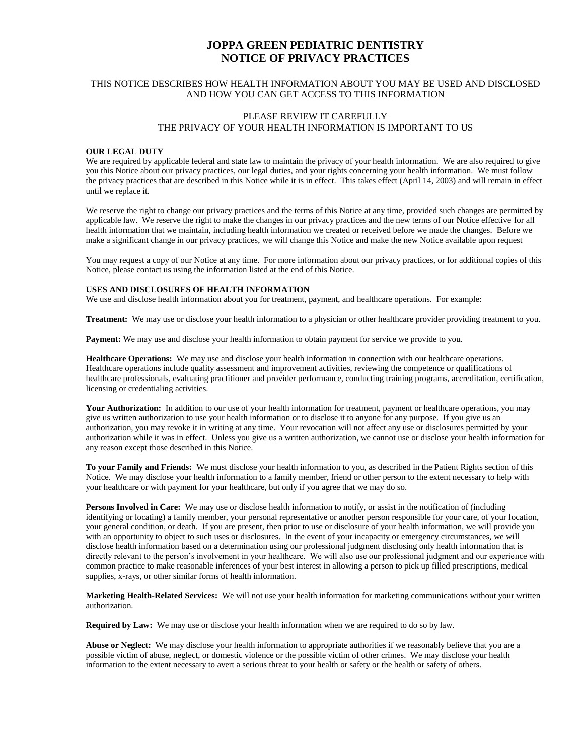## **JOPPA GREEN PEDIATRIC DENTISTRY NOTICE OF PRIVACY PRACTICES**

#### THIS NOTICE DESCRIBES HOW HEALTH INFORMATION ABOUT YOU MAY BE USED AND DISCLOSED AND HOW YOU CAN GET ACCESS TO THIS INFORMATION

### PLEASE REVIEW IT CAREFULLY THE PRIVACY OF YOUR HEALTH INFORMATION IS IMPORTANT TO US

#### **OUR LEGAL DUTY**

We are required by applicable federal and state law to maintain the privacy of your health information. We are also required to give you this Notice about our privacy practices, our legal duties, and your rights concerning your health information. We must follow the privacy practices that are described in this Notice while it is in effect. This takes effect (April 14, 2003) and will remain in effect until we replace it.

We reserve the right to change our privacy practices and the terms of this Notice at any time, provided such changes are permitted by applicable law. We reserve the right to make the changes in our privacy practices and the new terms of our Notice effective for all health information that we maintain, including health information we created or received before we made the changes. Before we make a significant change in our privacy practices, we will change this Notice and make the new Notice available upon request

You may request a copy of our Notice at any time. For more information about our privacy practices, or for additional copies of this Notice, please contact us using the information listed at the end of this Notice.

#### **USES AND DISCLOSURES OF HEALTH INFORMATION**

We use and disclose health information about you for treatment, payment, and healthcare operations. For example:

**Treatment:** We may use or disclose your health information to a physician or other healthcare provider providing treatment to you.

**Payment:** We may use and disclose your health information to obtain payment for service we provide to you.

**Healthcare Operations:** We may use and disclose your health information in connection with our healthcare operations. Healthcare operations include quality assessment and improvement activities, reviewing the competence or qualifications of healthcare professionals, evaluating practitioner and provider performance, conducting training programs, accreditation, certification, licensing or credentialing activities.

Your Authorization: In addition to our use of your health information for treatment, payment or healthcare operations, you may give us written authorization to use your health information or to disclose it to anyone for any purpose. If you give us an authorization, you may revoke it in writing at any time. Your revocation will not affect any use or disclosures permitted by your authorization while it was in effect. Unless you give us a written authorization, we cannot use or disclose your health information for any reason except those described in this Notice.

**To your Family and Friends:** We must disclose your health information to you, as described in the Patient Rights section of this Notice. We may disclose your health information to a family member, friend or other person to the extent necessary to help with your healthcare or with payment for your healthcare, but only if you agree that we may do so.

**Persons Involved in Care:** We may use or disclose health information to notify, or assist in the notification of (including identifying or locating) a family member, your personal representative or another person responsible for your care, of your location, your general condition, or death. If you are present, then prior to use or disclosure of your health information, we will provide you with an opportunity to object to such uses or disclosures. In the event of your incapacity or emergency circumstances, we will disclose health information based on a determination using our professional judgment disclosing only health information that is directly relevant to the person's involvement in your healthcare. We will also use our professional judgment and our experience with common practice to make reasonable inferences of your best interest in allowing a person to pick up filled prescriptions, medical supplies, x-rays, or other similar forms of health information.

**Marketing Health-Related Services:** We will not use your health information for marketing communications without your written authorization.

**Required by Law:** We may use or disclose your health information when we are required to do so by law.

**Abuse or Neglect:** We may disclose your health information to appropriate authorities if we reasonably believe that you are a possible victim of abuse, neglect, or domestic violence or the possible victim of other crimes. We may disclose your health information to the extent necessary to avert a serious threat to your health or safety or the health or safety of others.